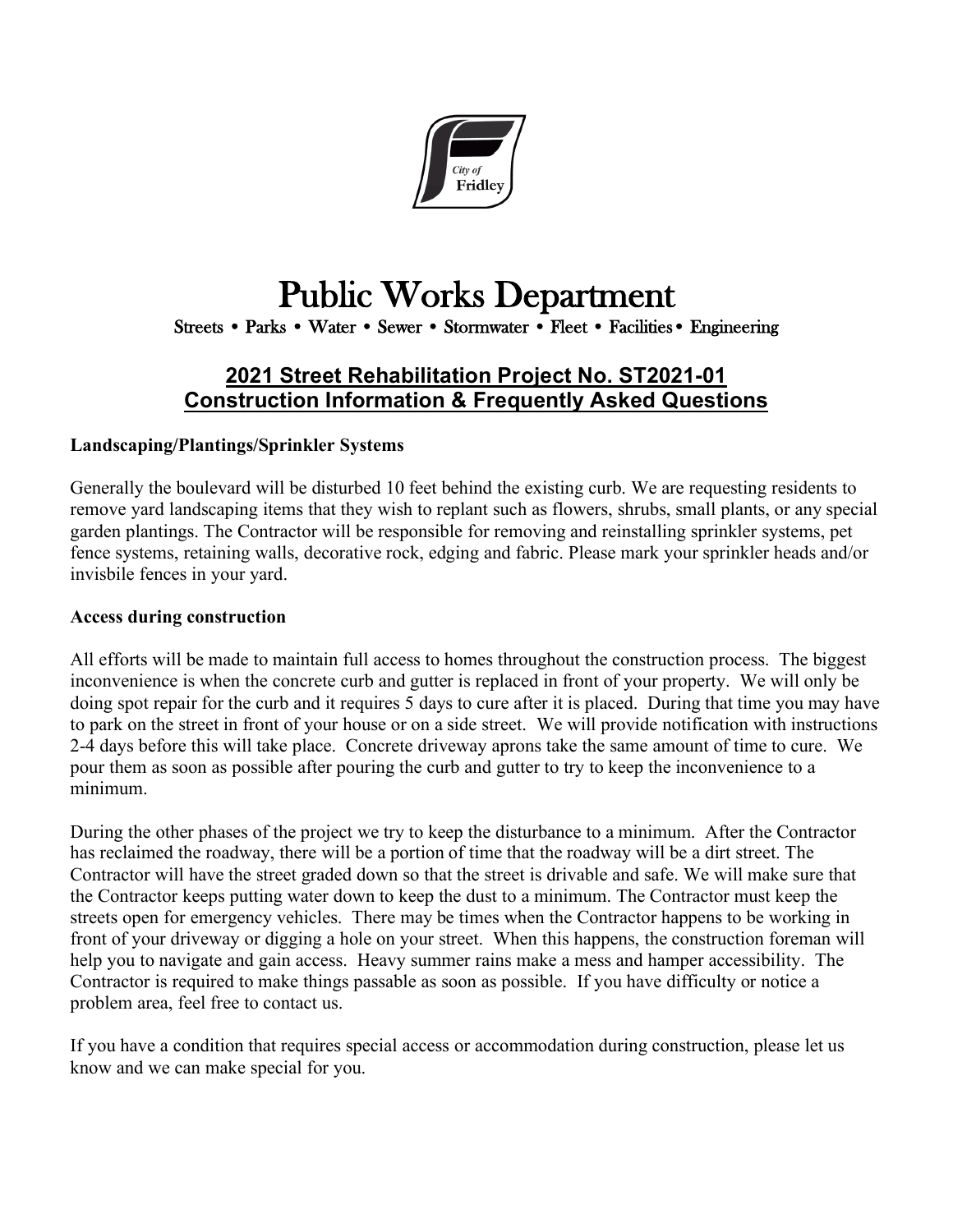

# Public Works Department<br>Streets • Parks • Water • Sewer • Stormwater • Fleet • Facilities • Engineering

# **2021 Street Rehabilitation Project No. ST2021-01 Construction Information & Frequently Asked Questions**

### **Landscaping/Plantings/Sprinkler Systems**

Generally the boulevard will be disturbed 10 feet behind the existing curb. We are requesting residents to remove yard landscaping items that they wish to replant such as flowers, shrubs, small plants, or any special garden plantings. The Contractor will be responsible for removing and reinstalling sprinkler systems, pet fence systems, retaining walls, decorative rock, edging and fabric. Please mark your sprinkler heads and/or invisbile fences in your yard.

#### **Access during construction**

All efforts will be made to maintain full access to homes throughout the construction process. The biggest inconvenience is when the concrete curb and gutter is replaced in front of your property. We will only be doing spot repair for the curb and it requires 5 days to cure after it is placed. During that time you may have to park on the street in front of your house or on a side street. We will provide notification with instructions 2-4 days before this will take place. Concrete driveway aprons take the same amount of time to cure. We pour them as soon as possible after pouring the curb and gutter to try to keep the inconvenience to a minimum.

During the other phases of the project we try to keep the disturbance to a minimum. After the Contractor has reclaimed the roadway, there will be a portion of time that the roadway will be a dirt street. The Contractor will have the street graded down so that the street is drivable and safe. We will make sure that the Contractor keeps putting water down to keep the dust to a minimum. The Contractor must keep the streets open for emergency vehicles. There may be times when the Contractor happens to be working in front of your driveway or digging a hole on your street. When this happens, the construction foreman will help you to navigate and gain access. Heavy summer rains make a mess and hamper accessibility. The Contractor is required to make things passable as soon as possible. If you have difficulty or notice a problem area, feel free to contact us.

If you have a condition that requires special access or accommodation during construction, please let us know and we can make special for you.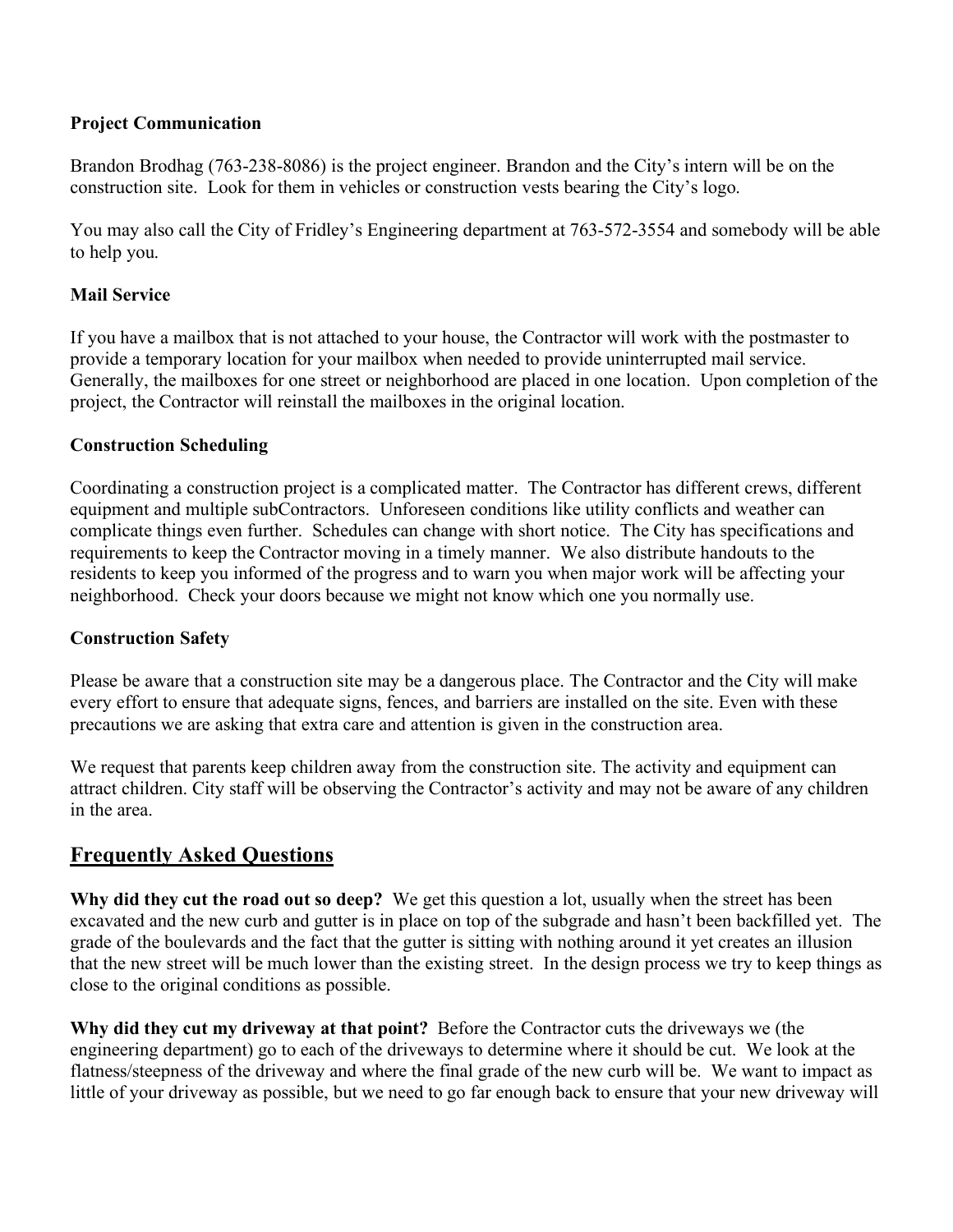#### **Project Communication**

Brandon Brodhag (763-238-8086) is the project engineer. Brandon and the City's intern will be on the construction site. Look for them in vehicles or construction vests bearing the City's logo.

You may also call the City of Fridley's Engineering department at 763-572-3554 and somebody will be able to help you.

#### **Mail Service**

If you have a mailbox that is not attached to your house, the Contractor will work with the postmaster to provide a temporary location for your mailbox when needed to provide uninterrupted mail service. Generally, the mailboxes for one street or neighborhood are placed in one location. Upon completion of the project, the Contractor will reinstall the mailboxes in the original location.

#### **Construction Scheduling**

Coordinating a construction project is a complicated matter. The Contractor has different crews, different equipment and multiple subContractors. Unforeseen conditions like utility conflicts and weather can complicate things even further. Schedules can change with short notice. The City has specifications and requirements to keep the Contractor moving in a timely manner. We also distribute handouts to the residents to keep you informed of the progress and to warn you when major work will be affecting your neighborhood. Check your doors because we might not know which one you normally use.

### **Construction Safety**

Please be aware that a construction site may be a dangerous place. The Contractor and the City will make every effort to ensure that adequate signs, fences, and barriers are installed on the site. Even with these precautions we are asking that extra care and attention is given in the construction area.

We request that parents keep children away from the construction site. The activity and equipment can attract children. City staff will be observing the Contractor's activity and may not be aware of any children in the area.

## **Frequently Asked Questions**

**Why did they cut the road out so deep?** We get this question a lot, usually when the street has been excavated and the new curb and gutter is in place on top of the subgrade and hasn't been backfilled yet. The grade of the boulevards and the fact that the gutter is sitting with nothing around it yet creates an illusion that the new street will be much lower than the existing street. In the design process we try to keep things as close to the original conditions as possible.

**Why did they cut my driveway at that point?** Before the Contractor cuts the driveways we (the engineering department) go to each of the driveways to determine where it should be cut. We look at the flatness/steepness of the driveway and where the final grade of the new curb will be. We want to impact as little of your driveway as possible, but we need to go far enough back to ensure that your new driveway will